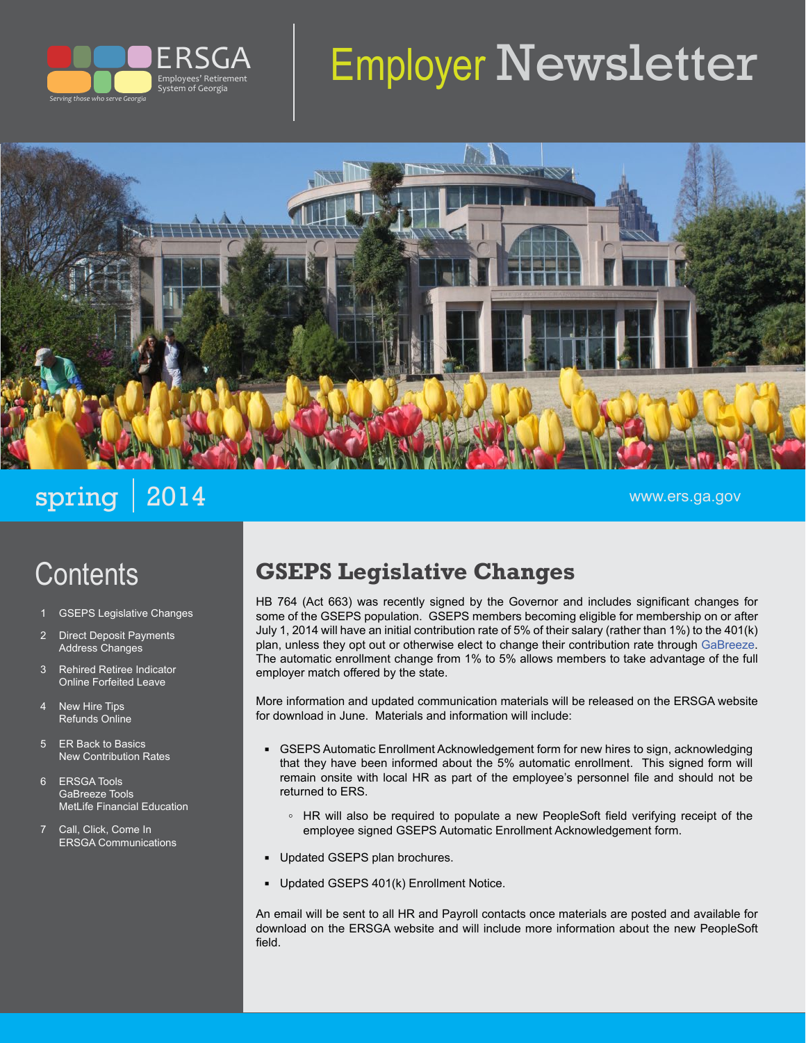

# Employer Newsletter



spring 2014 www.ers.ga.gov

# **Contents**

- **GSEPS Legislative Changes**
- 2 Direct Deposit Payments Address Changes
- 3 Rehired Retiree Indicator Online Forfeited Leave
- 4 New Hire Tips Refunds Online
- 5 ER Back to Basics New Contribution Rates
- 6 ERSGA Tools GaBreeze Tools MetLife Financial Education
- 7 Call, Click, Come In ERSGA Communications

# **GSEPS Legislative Changes**

HB 764 (Act 663) was recently signed by the Governor and includes significant changes for some of the GSEPS population. GSEPS members becoming eligible for membership on or after July 1, 2014 will have an initial contribution rate of 5% of their salary (rather than 1%) to the 401(k) plan, unless they opt out or otherwise elect to change their contribution rate through [GaBreeze.](http://gabreeze.ga.gov) The automatic enrollment change from 1% to 5% allows members to take advantage of the full employer match offered by the state.

More information and updated communication materials will be released on the ERSGA website for download in June. Materials and information will include:

- GSEPS Automatic Enrollment Acknowledgement form for new hires to sign, acknowledging that they have been informed about the 5% automatic enrollment. This signed form will remain onsite with local HR as part of the employee's personnel file and should not be returned to ERS.
	- **◦** HR will also be required to populate a new PeopleSoft field verifying receipt of the employee signed GSEPS Automatic Enrollment Acknowledgement form.
- **▪** Updated GSEPS plan brochures.
- Updated GSEPS 401(k) Enrollment Notice.

An email will be sent to all HR and Payroll contacts once materials are posted and available for download on the ERSGA website and will include more information about the new PeopleSoft field.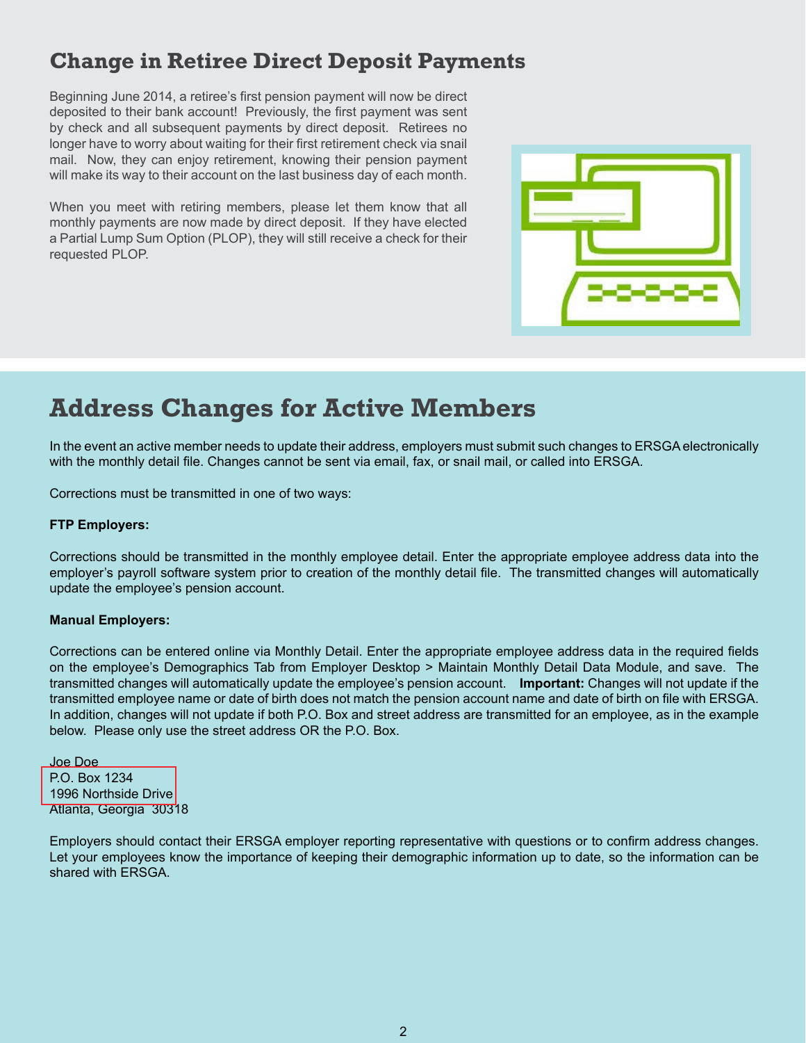### **Change in Retiree Direct Deposit Payments**

Beginning June 2014, a retiree's first pension payment will now be direct deposited to their bank account! Previously, the first payment was sent by check and all subsequent payments by direct deposit. Retirees no longer have to worry about waiting for their first retirement check via snail mail. Now, they can enjoy retirement, knowing their pension payment will make its way to their account on the last business day of each month.

When you meet with retiring members, please let them know that all monthly payments are now made by direct deposit. If they have elected a Partial Lump Sum Option (PLOP), they will still receive a check for their requested PLOP.



# **Address Changes for Active Members**

In the event an active member needs to update their address, employers must submit such changes to ERSGA electronically with the monthly detail file. Changes cannot be sent via email, fax, or snail mail, or called into ERSGA.

Corrections must be transmitted in one of two ways:

#### **FTP Employers:**

Corrections should be transmitted in the monthly employee detail. Enter the appropriate employee address data into the employer's payroll software system prior to creation of the monthly detail file. The transmitted changes will automatically update the employee's pension account.

#### **Manual Employers:**

Corrections can be entered online via Monthly Detail. Enter the appropriate employee address data in the required fields on the employee's Demographics Tab from Employer Desktop > Maintain Monthly Detail Data Module, and save. The transmitted changes will automatically update the employee's pension account. **Important:** Changes will not update if the transmitted employee name or date of birth does not match the pension account name and date of birth on file with ERSGA. In addition, changes will not update if both P.O. Box and street address are transmitted for an employee, as in the example below. Please only use the street address OR the P.O. Box.

Joe Doe P.O. Box 1234 1996 Northside Drive Atlanta, Georgia 30318

Employers should contact their ERSGA employer reporting representative with questions or to confirm address changes. Let your employees know the importance of keeping their demographic information up to date, so the information can be shared with ERSGA.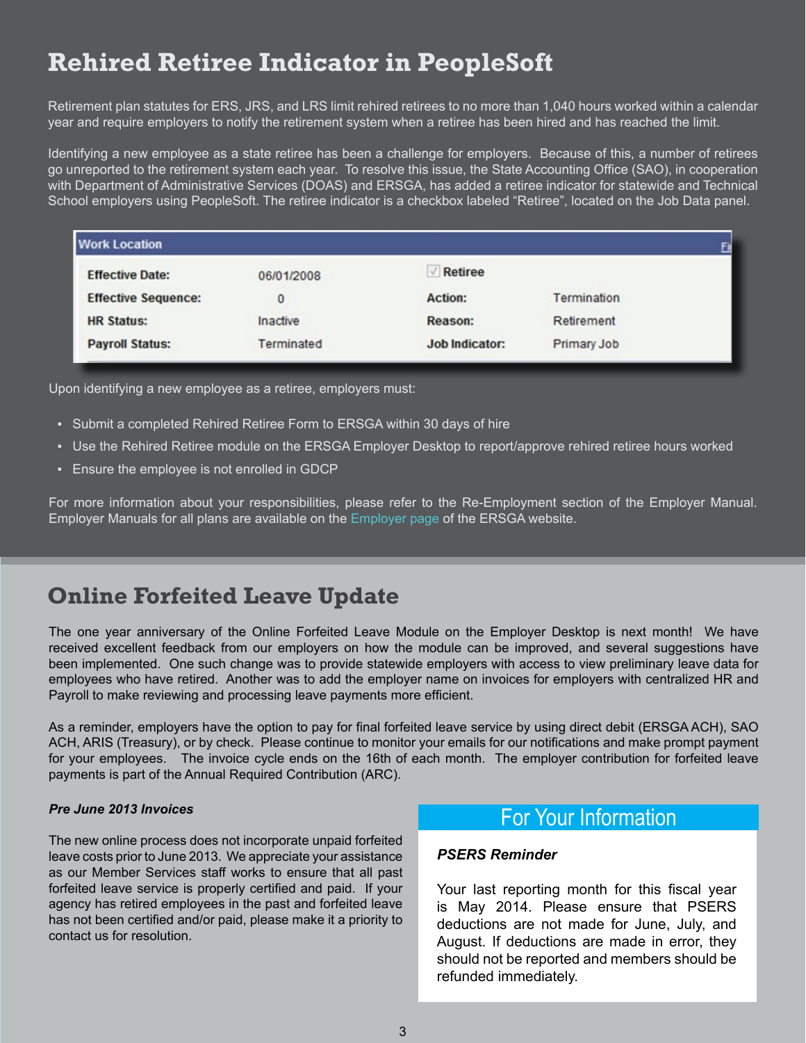# **Rehired Retiree Indicator in PeopleSoft**

Retirement plan statutes for ERS, JRS, and LRS limit rehired retirees to no more than 1,040 hours worked within a calendar year and require employers to notify the retirement system when a retiree has been hired and has reached the limit.

Identifying a new employee as a state retiree has been a challenge for employers. Because of this, a number of retirees go unreported to the retirement system each year. To resolve this issue, the State Accounting Office (SAO), in cooperation with Department of Administrative Services (DOAS) and ERSGA, has added a retiree indicator for statewide and Technical School employers using PeopleSoft. The retiree indicator is a checkbox labeled "Retiree", located on the Job Data panel.

| <b>Work Location</b>       |              |                |             |  |
|----------------------------|--------------|----------------|-------------|--|
| <b>Effective Date:</b>     | 06/01/2008   | <b>Retiree</b> |             |  |
| <b>Effective Sequence:</b> | $\mathbf{0}$ | <b>Action:</b> | Termination |  |
| <b>HR Status:</b>          | Inactive     | Reason:        | Retirement  |  |
| <b>Payroll Status:</b>     | Terminated   | Job Indicator: | Primary Job |  |

Upon identifying a new employee as a retiree, employers must:

- Submit a completed Rehired Retiree Form to ERSGA within 30 days of hire
- Use the Rehired Retiree module on the ERSGA Employer Desktop to report/approve rehired retiree hours worked
- Ensure the employee is not enrolled in GDCP

For more information about your responsibilities, please refer to the Re-Employment section of the Employer Manual. Employer Manuals for all plans are available on the [Employer page](http://www.ers.ga.gov/employers/employers.html) of the ERSGA website.

### **Online Forfeited Leave Update**

The one year anniversary of the Online Forfeited Leave Module on the Employer Desktop is next month! We have received excellent feedback from our employers on how the module can be improved, and several suggestions have been implemented. One such change was to provide statewide employers with access to view preliminary leave data for employees who have retired. Another was to add the employer name on invoices for employers with centralized HR and Payroll to make reviewing and processing leave payments more efficient.

As a reminder, employers have the option to pay for final forfeited leave service by using direct debit (ERSGA ACH), SAO ACH, ARIS (Treasury), or by check. Please continue to monitor your emails for our notifications and make prompt payment for your employees. The invoice cycle ends on the 16th of each month. The employer contribution for forfeited leave payments is part of the Annual Required Contribution (ARC).

#### *Pre June 2013 Invoices*

The new online process does not incorporate unpaid forfeited leave costs prior to June 2013. We appreciate your assistance as our Member Services staff works to ensure that all past forfeited leave service is properly certified and paid. If your agency has retired employees in the past and forfeited leave has not been certified and/or paid, please make it a priority to contact us for resolution.

### For Your Information

#### *PSERS Reminder*

Your last reporting month for this fiscal year is May 2014. Please ensure that PSERS deductions are not made for June, July, and August. If deductions are made in error, they should not be reported and members should be refunded immediately.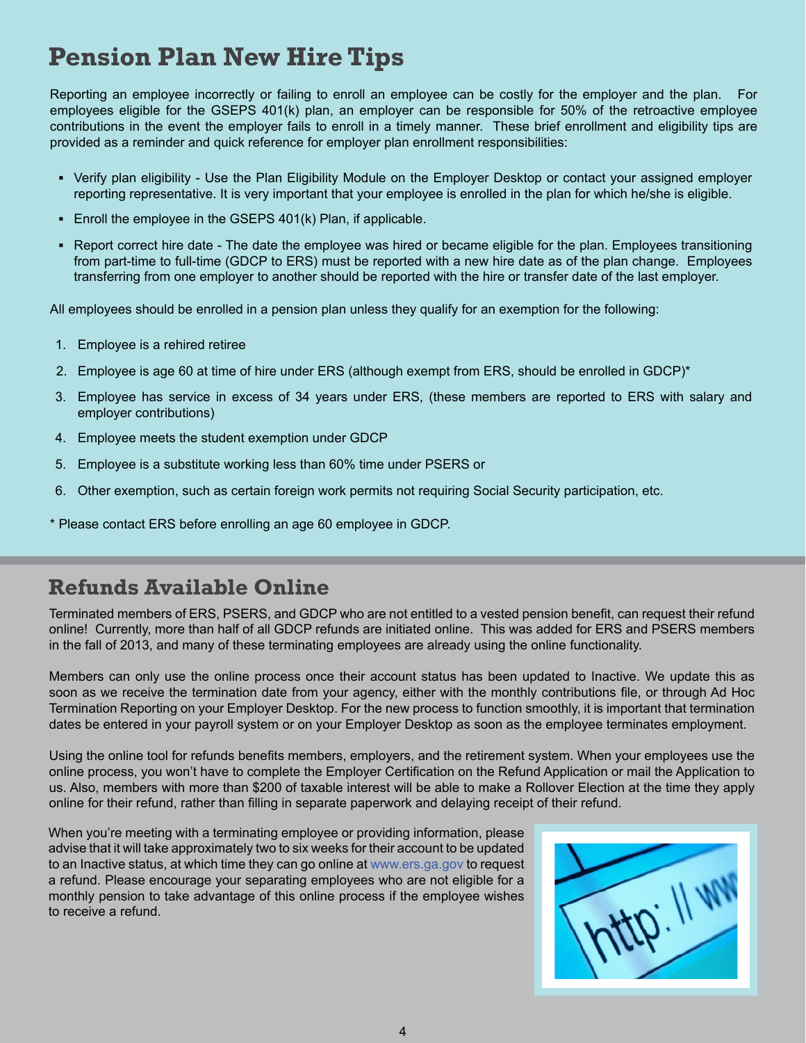# **Pension Plan New Hire Tips**

Reporting an employee incorrectly or failing to enroll an employee can be costly for the employer and the plan. For employees eligible for the GSEPS 401(k) plan, an employer can be responsible for 50% of the retroactive employee contributions in the event the employer fails to enroll in a timely manner. These brief enrollment and eligibility tips are provided as a reminder and quick reference for employer plan enrollment responsibilities:

- **▪** Verify plan eligibility Use the Plan Eligibility Module on the Employer Desktop or contact your assigned employer reporting representative. It is very important that your employee is enrolled in the plan for which he/she is eligible.
- Enroll the employee in the GSEPS 401(k) Plan, if applicable.
- **▪** Report correct hire date The date the employee was hired or became eligible for the plan. Employees transitioning from part-time to full-time (GDCP to ERS) must be reported with a new hire date as of the plan change. Employees transferring from one employer to another should be reported with the hire or transfer date of the last employer.

All employees should be enrolled in a pension plan unless they qualify for an exemption for the following:

- 1. Employee is a rehired retiree
- 2. Employee is age 60 at time of hire under ERS (although exempt from ERS, should be enrolled in GDCP)\*
- 3. Employee has service in excess of 34 years under ERS, (these members are reported to ERS with salary and employer contributions)
- 4. Employee meets the student exemption under GDCP
- 5. Employee is a substitute working less than 60% time under PSERS or
- 6. Other exemption, such as certain foreign work permits not requiring Social Security participation, etc.
- \* Please contact ERS before enrolling an age 60 employee in GDCP.

### **Refunds Available Online**

Terminated members of ERS, PSERS, and GDCP who are not entitled to a vested pension benefit, can request their refund online! Currently, more than half of all GDCP refunds are initiated online. This was added for ERS and PSERS members in the fall of 2013, and many of these terminating employees are already using the online functionality.

Members can only use the online process once their account status has been updated to Inactive. We update this as soon as we receive the termination date from your agency, either with the monthly contributions file, or through Ad Hoc Termination Reporting on your Employer Desktop. For the new process to function smoothly, it is important that termination dates be entered in your payroll system or on your Employer Desktop as soon as the employee terminates employment.

Using the online tool for refunds benefits members, employers, and the retirement system. When your employees use the online process, you won't have to complete the Employer Certification on the Refund Application or mail the Application to us. Also, members with more than \$200 of taxable interest will be able to make a Rollover Election at the time they apply online for their refund, rather than filling in separate paperwork and delaying receipt of their refund.

When you're meeting with a terminating employee or providing information, please advise that it will take approximately two to six weeks for their account to be updated to an Inactive status, at which time they can go online at [www.ers.ga.gov](http://www.ers.ga.gov) to request a refund. Please encourage your separating employees who are not eligible for a monthly pension to take advantage of this online process if the employee wishes to receive a refund.

|--|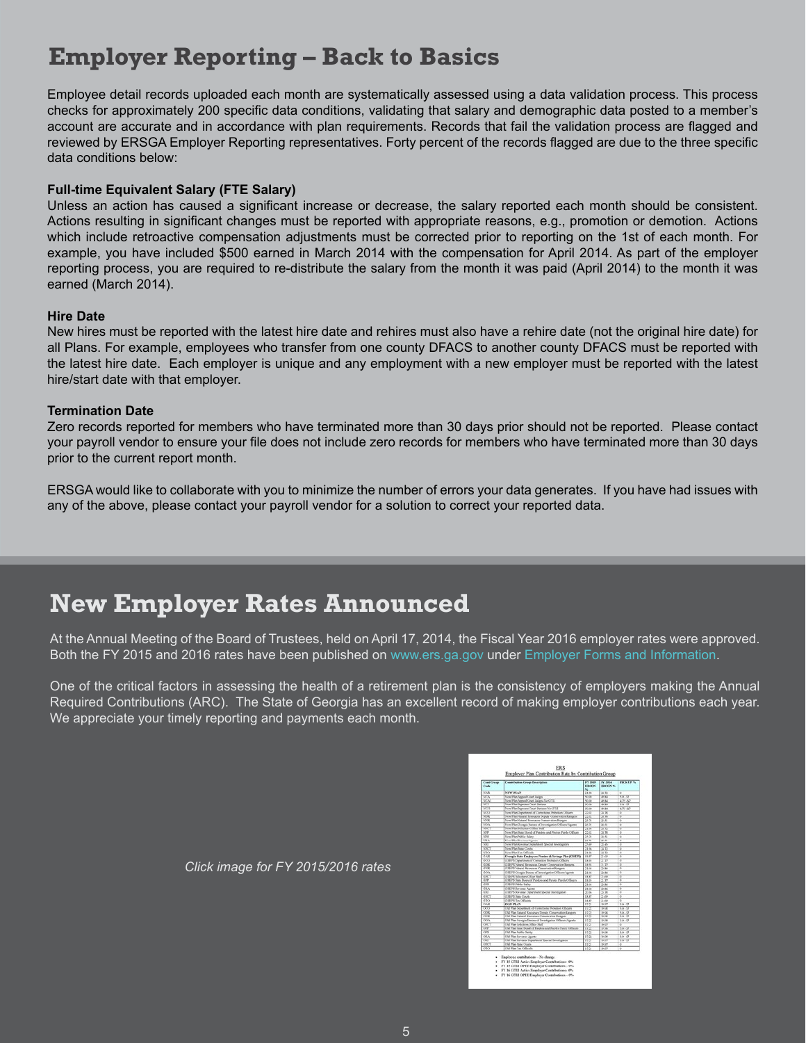# **Employer Reporting – Back to Basics**

Employee detail records uploaded each month are systematically assessed using a data validation process. This process checks for approximately 200 specific data conditions, validating that salary and demographic data posted to a member's account are accurate and in accordance with plan requirements. Records that fail the validation process are flagged and reviewed by ERSGA Employer Reporting representatives. Forty percent of the records flagged are due to the three specific data conditions below:

#### **Full-time Equivalent Salary (FTE Salary)**

Unless an action has caused a significant increase or decrease, the salary reported each month should be consistent. Actions resulting in significant changes must be reported with appropriate reasons, e.g., promotion or demotion. Actions which include retroactive compensation adjustments must be corrected prior to reporting on the 1st of each month. For example, you have included \$500 earned in March 2014 with the compensation for April 2014. As part of the employer reporting process, you are required to re-distribute the salary from the month it was paid (April 2014) to the month it was earned (March 2014).

#### **Hire Date**

New hires must be reported with the latest hire date and rehires must also have a rehire date (not the original hire date) for all Plans. For example, employees who transfer from one county DFACS to another county DFACS must be reported with the latest hire date. Each employer is unique and any employment with a new employer must be reported with the latest hire/start date with that employer.

#### **Termination Date**

Zero records reported for members who have terminated more than 30 days prior should not be reported. Please contact your payroll vendor to ensure your file does not include zero records for members who have terminated more than 30 days prior to the current report month.

ERSGA would like to collaborate with you to minimize the number of errors your data generates. If you have had issues with any of the above, please contact your payroll vendor for a solution to correct your reported data.

# **New Employer Rates Announced**

At the Annual Meeting of the Board of Trustees, held on April 17, 2014, the Fiscal Year 2016 employer rates were approved. Both the FY 2015 and 2016 rates have been published on [www.ers.ga.gov](http://www.ers.ga.gov/) under [Employer Forms and Information](http://www.ers.ga.gov/employers/employerforms.html).

One of the critical factors in assessing the health of a retirement plan is the consistency of employers making the Annual Required Contributions (ARC). The State of Georgia has an excellent record of making employer contributions each year. We appreciate your timely reporting and payments each month.

| CostCrusp<br>Cade       | <b>Contribution Group Bourgation</b>                        | <b>EV Sent</b><br>ERCON<br>m. | BY NHA<br><b>ESKYCN N</b> | <b>HELLPS</b>  |
|-------------------------|-------------------------------------------------------------|-------------------------------|---------------------------|----------------|
| N/k                     | NEW PLAN                                                    | 21.96                         | 24.72                     | l e            |
| MTA.                    | New Plan Appeal Court Buiges                                | <b>SCOR</b>                   | 49.94                     | 70.37          |
| <b>CFX</b>              | New Plan Antwal Court Autom NevITLI                         | SC-34                         | 26.54                     | 476.67         |
| जा                      | New Plan Supernor Court Switzers                            | $-24$                         | 204                       | 40.87          |
| जग                      | New Plan Depose Court Pertains Ne OTLE                      | No che                        | 20.44                     | $477 - 57$     |
| N(1)                    | New Plan Department of Connections Phobation Officers       | ÎВ                            | $\overline{56.78}$        | ÷              |
| খন                      | New Plan Natural Researces Deputy Conservation Rangers      | 覊                             | XX.                       | ÿ<br>œ         |
| $-0.00$                 | <b>New Plan Natural Roussiers Conversion Roy</b>            |                               |                           | Ŧ              |
| $\overline{1}$          | New Plan Georgia Danau of Investigation Offseny Agents      | 25.39                         | 196.93                    | T.             |
| NPL.                    | New Plan Scholars Office NatT                               | 2156                          | $\overline{28}$ TZ        | ×              |
| <b>VIP</b>              | New Plan State Hoard of Ponders and Parcias Purche Officers | 2242                          | 24.76                     | F              |
| লন                      | <b>New Phys Public Sales</b>                                | 26.25                         | 74.93                     | ÷              |
| $\overline{\mathbf{v}}$ | New Plan Revolve Agents                                     | 25.23                         | 76.50                     | ÷              |
| $\overline{\mathbf{v}}$ | New Plan Keyvanur Dichertment, Special Interceptions        | 器                             | 7.0                       | τ              |
| তল                      | New Plan State Courts                                       |                               | 500                       | Ť              |
| $\overline{\mathbf{v}}$ | New Plan Tax Officials                                      | 21.04                         | 24.72                     | o              |
| 3.00                    | Groegia State Employees Pension & Serings Plan (CSEPG)      | 18.87                         | 21.69                     | 7              |
| 327                     | LLE/A Department of Computers Profession Officers           | 14.95                         | $-71$                     | r              |
| <b>TER</b>              | GIEPS Natural Resources Deputy Conservation Rangers         | 14.44                         | 衡                         | ٧              |
| 700                     | (2009) Natural Benessyon Competentian European              | 74.04                         | <b>15 MG</b>              | 72             |
| <b>TELA</b>             | O.H./6 Gorgia Buseau of Intersignize/Offices Agents         | 21.04                         | 25.86                     | 1<br>÷         |
| ਕਲ                      | CONFORT Nation Home Children Modifi                         | 18.6                          | 21.69                     | Ŧ              |
| <b>STP</b>              | CISPS Suite Board of Punkers and Punker Punke Officers      | 11:55                         | R W                       | ×              |
| नार                     | <b>GRUN Public Sales</b>                                    | 21.04                         | 29.96                     | ÷              |
| 18.4                    | 03079 Revoted Agoles                                        | 2104                          | 23.86                     | ۰              |
| $\overline{AB}$         | GSEPS Revenue Department Special Investigations             | 30%                           | 近業                        | Ŧ              |
| 383                     | GSK/% State Courts                                          | <b>DOP</b>                    | 五乘                        | 7              |
| तार                     | <b>GSUPS Tax Officials</b>                                  | <b>DERT</b>                   | 21.66                     | 7              |
| (5.13)                  | 000013-03                                                   | 112                           | 16.09                     | 10.17          |
| <b>OCCU</b>             | <b>CAL Pain Denatories of Contextons Prohabos Officers</b>  | 112                           | <b>JW UK</b>              | 10.33          |
| 7996                    | Old Plan Natural Resources Deputs Conservation Rangers      | 1123                          | 14 OK                     | 0.0            |
| CAN                     | Chil Plan Natural Resources Conservation Rangers            | 12.22                         | 16.08                     | 10.13          |
| OOA                     | CAI Plan Garrigas Durano of Investigation Officers, Aprela  | 3123                          | 34.46                     | 10.12          |
| ਕਦ                      | <b>CALIfan Jobchers Office Nell</b>                         |                               | H                         |                |
| 239                     | Oid Pier Jose Bosed of Pardors and Paroles Parole Officers  | 翳                             | 14.06                     | 10.53          |
| 789                     | Old Plan Public Sales                                       | 1131                          | 11.06                     | (0.53)         |
| खर                      | Old Pies Renewar Apathy                                     | Ϋ́Σ                           | 14.06                     | 10.43          |
| œ                       | CALIFIER Keyense Lepartment Special Interligations          | 52.23                         | 1957                      | 30.33          |
| 280                     | Old Plan Rate Courts                                        | 172                           | 19.57                     | Ξ              |
| m                       | Old Plan Tax Officials                                      | 112                           | 79.57                     | $\overline{6}$ |

*Click image for FY 2015/2016 rates*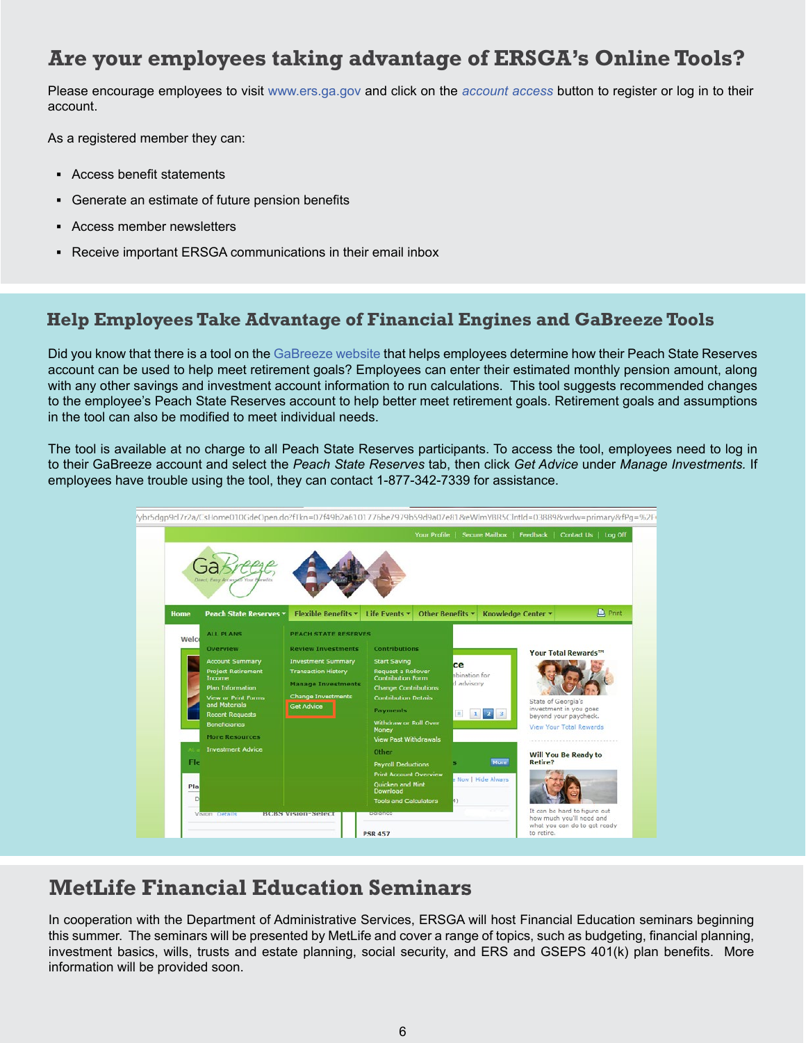### **Are your employees taking advantage of ERSGA's Online Tools?**

Please encourage employees to visit [www.ers.ga.gov](http://www.ers.ga.gov) and click on the *[account access](http://www.ers.ga.gov/accountaccess/accountaccess.html)* button to register or log in to their account.

As a registered member they can:

- **▪** Access benefit statements
- **▪** Generate an estimate of future pension benefits
- **▪** Access member newsletters
- **▪** Receive important ERSGA communications in their email inbox

### **Help Employees Take Advantage of Financial Engines and GaBreeze Tools**

Did you know that there is a tool on the [GaBreeze website](http://gabreeze.ga.gov) that helps employees determine how their Peach State Reserves account can be used to help meet retirement goals? Employees can enter their estimated monthly pension amount, along with any other savings and investment account information to run calculations. This tool suggests recommended changes to the employee's Peach State Reserves account to help better meet retirement goals. Retirement goals and assumptions in the tool can also be modified to meet individual needs.

The tool is available at no charge to all Peach State Reserves participants. To access the tool, employees need to log in to their GaBreeze account and select the *Peach State Reserves* tab, then click *Get Advice* under *Manage Investments.* If employees have trouble using the tool, they can contact 1-877-342-7339 for assistance.



### **MetLife Financial Education Seminars**

In cooperation with the Department of Administrative Services, ERSGA will host Financial Education seminars beginning this summer. The seminars will be presented by MetLife and cover a range of topics, such as budgeting, financial planning, investment basics, wills, trusts and estate planning, social security, and ERS and GSEPS 401(k) plan benefits. More information will be provided soon.